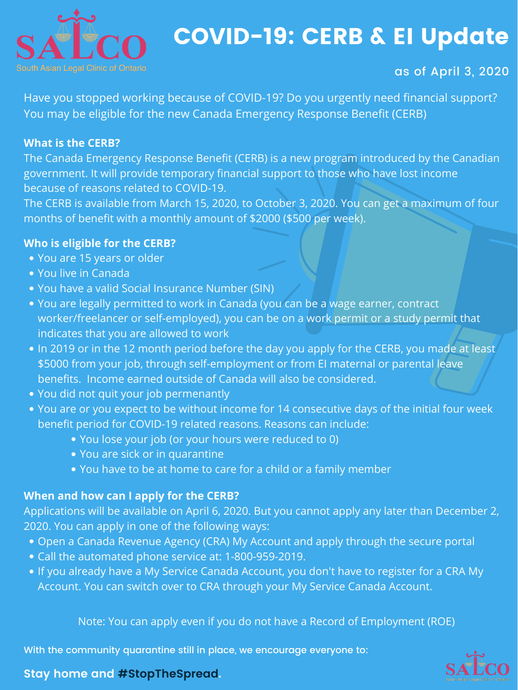

# COVID-19: CERB & EI Update

With the community quarantine still in place, we encourage everyone to:

#### **Stay home and #StopTheSpread.**



as of April 3, 2020

Have you stopped working because of COVID-19? Do you urgently need financial support? You may be eligible for the new Canada Emergency Response Benefit (CERB)

#### **What is the CERB?**

The Canada Emergency Response Benefit (CERB) is a new program introduced by the Canadian government. It will provide temporary financial support to those who have lost income because of reasons related to COVID-19. The CERB is available from March 15, 2020, to October 3, 2020. You can get a maximum of four months of benefit with a monthly amount of \$2000 (\$500 per week).

- You are 15 years or older
- You live in Canada
- You have a valid Social Insurance Number (SIN)
- You are legally permitted to work in Canada (you can be a wage earner, contract worker/freelancer or self-employed), you can be on a work permit or a study permit that indicates that you are allowed to work
- . In 2019 or in the 12 month period before the day you apply for the CERB, you made at least
	- \$5000 from your job, through self-employment or from EI maternal or parental leave benefits. Income earned outside of Canada will also be considered.
- You did not quit your job permenantly
- You are or you expect to be without income for 14 consecutive days of the initial four week benefit period for COVID-19 related reasons. Reasons can include:
	- You lose your job (or your hours were reduced to 0)
	- You are sick or in quarantine
	- You have to be at home to care for a child or a family member

### **Who is eligible for the CERB?**

- Open a Canada Revenue Agency (CRA) My Account and apply through the secure portal
- Call the automated phone service at: 1-800-959-2019.
- If you already have a My Service Canada Account, you don't have to register for a CRA My Account. You can switch over to CRA through your My Service Canada Account.

#### **When and how can I apply for the CERB?**

Applications will be available on April 6, 2020. But you cannot apply any later than December 2, 2020. You can apply in one of the following ways:

Note: You can apply even if you do not have a Record of Employment (ROE)